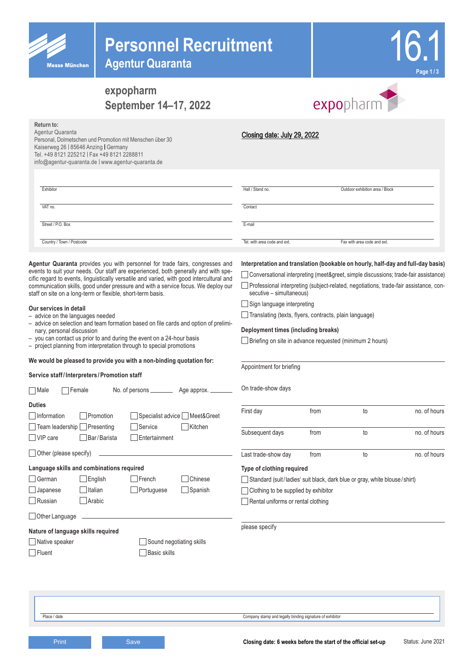| <b>Messe Münche</b> |
|---------------------|

# **Personnel Recruitment**

**Agentur Quaranta**



# **expopharm September 14–17, 2022**



| Return to:<br>Agentur Quaranta<br>Personal, Dolmetschen und Promotion mit Menschen über 30<br>Kaiserweg 26   85646 Anzing   Germany<br>Tel. +49 8121 225212   Fax +49 8121 2288811<br>info@agentur-quaranta.de   www.agentur-quaranta.de                                                                                                                                                                                                                                                                                                                                                                                                                                                                                                                                                                                                                                                                                                           | Closing date: July 29, 2022                                                                                                                                                                                                                                                                                                                                                                                                                                                                                                              |      |                                 |              |
|----------------------------------------------------------------------------------------------------------------------------------------------------------------------------------------------------------------------------------------------------------------------------------------------------------------------------------------------------------------------------------------------------------------------------------------------------------------------------------------------------------------------------------------------------------------------------------------------------------------------------------------------------------------------------------------------------------------------------------------------------------------------------------------------------------------------------------------------------------------------------------------------------------------------------------------------------|------------------------------------------------------------------------------------------------------------------------------------------------------------------------------------------------------------------------------------------------------------------------------------------------------------------------------------------------------------------------------------------------------------------------------------------------------------------------------------------------------------------------------------------|------|---------------------------------|--------------|
| Exhibitor                                                                                                                                                                                                                                                                                                                                                                                                                                                                                                                                                                                                                                                                                                                                                                                                                                                                                                                                          | Hall / Stand no.                                                                                                                                                                                                                                                                                                                                                                                                                                                                                                                         |      | Outdoor exhibition area / Block |              |
| VAT no.                                                                                                                                                                                                                                                                                                                                                                                                                                                                                                                                                                                                                                                                                                                                                                                                                                                                                                                                            | Contact                                                                                                                                                                                                                                                                                                                                                                                                                                                                                                                                  |      |                                 |              |
| Street / P.O. Box                                                                                                                                                                                                                                                                                                                                                                                                                                                                                                                                                                                                                                                                                                                                                                                                                                                                                                                                  | E-mail                                                                                                                                                                                                                                                                                                                                                                                                                                                                                                                                   |      |                                 |              |
| Country / Town / Postcode                                                                                                                                                                                                                                                                                                                                                                                                                                                                                                                                                                                                                                                                                                                                                                                                                                                                                                                          | Tel. with area code and ext.                                                                                                                                                                                                                                                                                                                                                                                                                                                                                                             |      | Fax with area code and ext.     |              |
| Agentur Quaranta provides you with personnel for trade fairs, congresses and<br>events to suit your needs. Our staff are experienced, both generally and with spe-<br>cific regard to events, linguistically versatile and varied, with good intercultural and<br>communication skills, good under pressure and with a service focus. We deploy our<br>staff on site on a long-term or flexible, short-term basis.<br>Our services in detail<br>- advice on the languages needed<br>- advice on selection and team formation based on file cards and option of prelimi-<br>nary, personal discussion<br>- you can contact us prior to and during the event on a 24-hour basis<br>- project planning from interpretation through to special promotions<br>We would be pleased to provide you with a non-binding quotation for:<br>Service staff/Interpreters/Promotion staff<br><b>Nale</b><br>Female<br>No. of persons _____________ Age approx. _ | Interpretation and translation (bookable on hourly, half-day and full-day basis)<br>Conversational interpreting (meet&greet, simple discussions; trade-fair assistance)<br>Professional interpreting (subject-related, negotiations, trade-fair assistance, con-<br>secutive - simultaneous)<br>Sign language interpreting<br>Translating (texts, flyers, contracts, plain language)<br>Deployment times (including breaks)<br>Briefing on site in advance requested (minimum 2 hours)<br>Appointment for briefing<br>On trade-show days |      |                                 |              |
| <b>Duties</b><br>Information<br>Promotion<br>Specialist advice L<br>Meet&Greet<br>$\Box$ Team leadership $\Box$<br>Presenting<br>Service<br>Kitchen                                                                                                                                                                                                                                                                                                                                                                                                                                                                                                                                                                                                                                                                                                                                                                                                | First day                                                                                                                                                                                                                                                                                                                                                                                                                                                                                                                                | from | to                              | no. of hours |
| $\Box$ VIP care<br>Bar/Barista<br>Entertainment                                                                                                                                                                                                                                                                                                                                                                                                                                                                                                                                                                                                                                                                                                                                                                                                                                                                                                    | Subsequent days                                                                                                                                                                                                                                                                                                                                                                                                                                                                                                                          | from | to                              | no. of hours |
| $\Box$ Other (please specify)                                                                                                                                                                                                                                                                                                                                                                                                                                                                                                                                                                                                                                                                                                                                                                                                                                                                                                                      | Last trade-show day                                                                                                                                                                                                                                                                                                                                                                                                                                                                                                                      | from | to                              | no. of hours |
| Language skills and combinations required<br>French<br>German<br>English<br>Chinese<br>Italian<br>Portuguese<br>Spanish<br>Japanese<br>Russian<br>Arabic<br>Other Language<br>Nature of language skills required                                                                                                                                                                                                                                                                                                                                                                                                                                                                                                                                                                                                                                                                                                                                   | Type of clothing required<br>Standard (suit/ladies' suit black, dark blue or gray, white blouse/shirt)<br>Clothing to be supplied by exhibitor<br>Rental uniforms or rental clothing<br>please specify                                                                                                                                                                                                                                                                                                                                   |      |                                 |              |
| Native speaker<br>Sound negotiating skills<br>$\Box$ Fluent<br><b>Basic skills</b>                                                                                                                                                                                                                                                                                                                                                                                                                                                                                                                                                                                                                                                                                                                                                                                                                                                                 |                                                                                                                                                                                                                                                                                                                                                                                                                                                                                                                                          |      |                                 |              |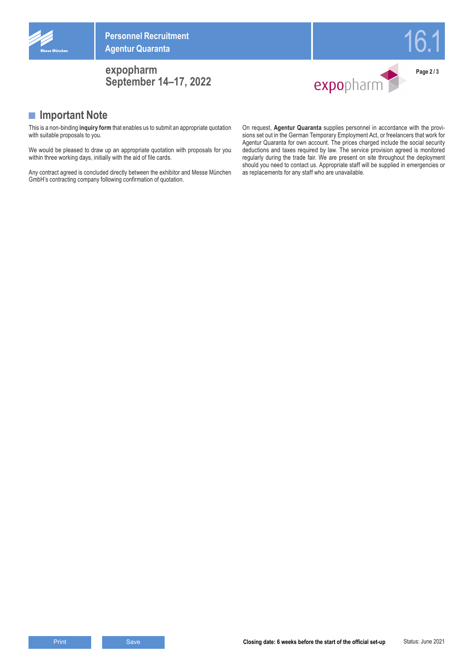

**Personnel Recruitment Agentur Quaranta**

### **expopharm September 14–17, 2022**



16.1

**■ Important Note**

This is a non-binding **inquiry form** that enables us to submit an appropriate quotation with suitable proposals to you.

We would be pleased to draw up an appropriate quotation with proposals for you within three working days, initially with the aid of file cards.

Any contract agreed is concluded directly between the exhibitor and Messe München GmbH's contracting company following confirmation of quotation.

On request, **Agentur Quaranta** supplies personnel in accordance with the provisions set out in the German Temporary Employment Act, or freelancers that work for Agentur Quaranta for own account. The prices charged include the social security deductions and taxes required by law. The service provision agreed is monitored regularly during the trade fair. We are present on site throughout the deployment should you need to contact us. Appropriate staff will be supplied in emergencies or as replacements for any staff who are unavailable.